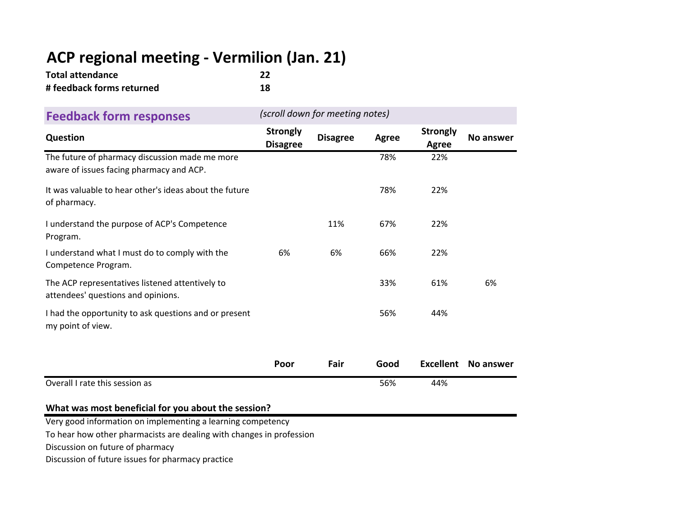# **ACP regional meeting ‐ Vermilion (Jan. 21)**

| <b>Total attendance</b>   | 22 |
|---------------------------|----|
| # feedback forms returned | 18 |

| <b>Feedback form responses</b>                                                             | (scroll down for meeting notes)    |                 |              |                          |           |
|--------------------------------------------------------------------------------------------|------------------------------------|-----------------|--------------|--------------------------|-----------|
| Question                                                                                   | <b>Strongly</b><br><b>Disagree</b> | <b>Disagree</b> | <b>Agree</b> | <b>Strongly</b><br>Agree | No answer |
| The future of pharmacy discussion made me more<br>aware of issues facing pharmacy and ACP. |                                    |                 | 78%          | 22%                      |           |
| It was valuable to hear other's ideas about the future<br>of pharmacy.                     |                                    |                 | 78%          | 22%                      |           |
| I understand the purpose of ACP's Competence<br>Program.                                   |                                    | 11%             | 67%          | 22%                      |           |
| I understand what I must do to comply with the<br>Competence Program.                      | 6%                                 | 6%              | 66%          | 22%                      |           |
| The ACP representatives listened attentively to<br>attendees' questions and opinions.      |                                    |                 | 33%          | 61%                      | 6%        |
| I had the opportunity to ask questions and or present<br>my point of view.                 |                                    |                 | 56%          | 44%                      |           |
|                                                                                            | Poor                               | Fair            | Good         | <b>Excellent</b>         | No answer |
| Overall I rate this session as                                                             |                                    |                 | 56%          | 44%                      |           |

#### **What was most beneficial for you about the session?**

Very good information on implementing <sup>a</sup> learning competency

To hear how other pharmacists are dealing with changes in profession

Discussion on future of pharmacy

Discussion of future issues for pharmacy practice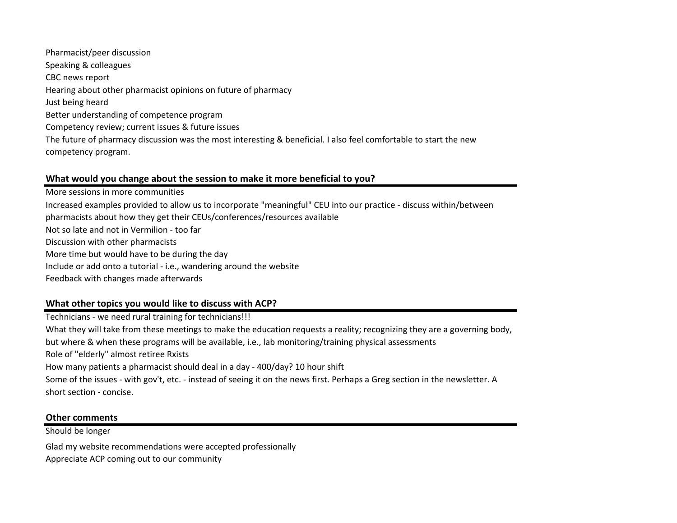Just being heard Better understanding of competence program Competency review; current issues & future issues The future of pharmacy discussion was the most interesting & beneficial. I also feel comfortable to start the new competency program. Pharmacist/peer discussion Speaking & colleagues CBC news report Hearing about other pharmacist opinions on future of pharmacy

#### **What would you change about the session to make it more beneficial to you?**

Include or add onto <sup>a</sup> tutorial ‐ i.e., wandering around the website Feedback with changes made afterwards More sessions in more communities Increased examples provided to allow us to incorporate "meaningful" CEU into our practice ‐ discuss within/between pharmacists about how they get their CEUs/conferences/resources available Not so late and not in Vermilion ‐ too far Discussion with other pharmacists More time but would have to be during the day

#### **What other topics you would like to discuss with ACP?**

Role of "elderly" almost retiree Rxists How many patients <sup>a</sup> pharmacist should deal in <sup>a</sup> day ‐ 400/day? 10 hour shift Some of the issues ‐ with gov't, etc. ‐ instead of seeing it on the news first. Perhaps <sup>a</sup> Greg section in the newsletter. A short section ‐ concise. Technicians ‐ we need rural training for technicians!!! What they will take from these meetings to make the education requests <sup>a</sup> reality; recognizing they are <sup>a</sup> governing body, but where & when these programs will be available, i.e., lab monitoring/training physical assessments

#### **Other comments**

Should be longer

Glad my website recommendations were accepted professionally Appreciate ACP coming out to our community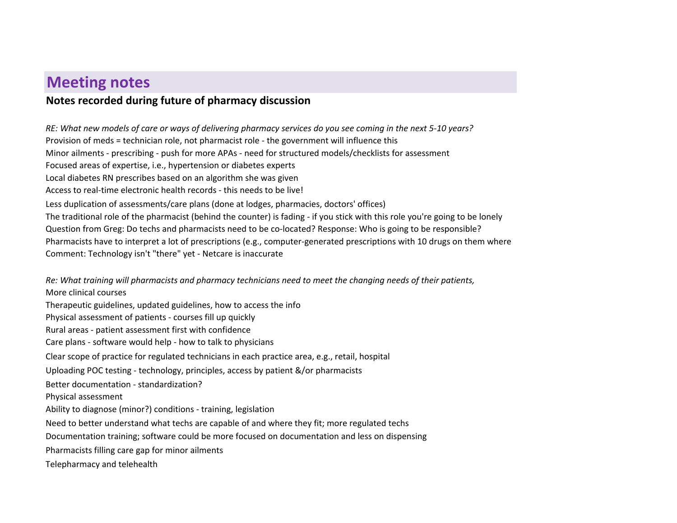## **Meeting notes**

### **Notes recorded during future of pharmacy discussion**

RE: What new models of care or ways of delivering pharmacy services do you see coming in the next 5-10 years? The traditional role of the pharmacist (behind the counter) is fading ‐ if you stick with this role you're going to be lonely Question from Greg: Do techs and pharmacists need to be co‐located? Response: Who is going to be responsible? Pharmacists have to interpret <sup>a</sup> lot of prescriptions (e.g., computer‐generated prescriptions with 10 drugs on them where Comment: Technology isn't "there" yet ‐ Netcare is inaccurate Provision of meds <sup>=</sup> technician role, not pharmacist role ‐ the government will influence this Minor ailments ‐ prescribing ‐ push for more APAs ‐ need for structured models/checklists for assessment Focused areas of expertise, i.e., hypertension or diabetes experts Local diabetes RN prescribes based on an algorithm she was given Access to real‐time electronic health records ‐ this needs to be live! Less duplication of assessments/care plans (done at lodges, pharmacies, doctors' offices)

Re: What training will pharmacists and pharmacy technicians need to meet the changing needs of their patients,

More clinical courses Therapeutic guidelines, updated guidelines, how to access the info Care plans ‐ software would help ‐ how to talk to physicians Rural areas ‐ patient assessment first with confidence Physical assessment of patients ‐ courses fill up quickly Clear scope of practice for regulated technicians in each practice area, e.g., retail, hospital Uploading POC testing ‐ technology, principles, access by patient &/or pharmacists Better documentation ‐ standardization?Physical assessment Ability to diagnose (minor?) conditions ‐ training, legislation Need to better understand what techs are capable of and where they fit; more regulated techs Documentation training; software could be more focused on documentation and less on dispensing Pharmacists filling care gap for minor ailments Telepharmacy and telehealth